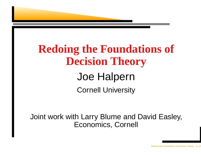

### **Redoing the Foundations of Decision Theory**

#### Joe Halpern Cornell University

Joint work with Larry Blume and David Easley, Economics, Cornell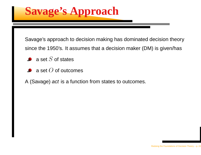**Savage's Approach**

Savage's approach to decision making has dominated decision theory since the 1950's. It assumes that <sup>a</sup> decision maker (DM) is given/has

- a set  $S$  of states
- a set  $O$  of outcomes

A (Savage) *act* is a function from states to outcomes.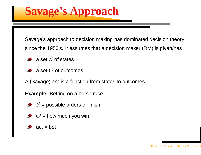**Savage's Approach**

Savage's approach to decision making has dominated decision theory since the 1950's. It assumes that <sup>a</sup> decision maker (DM) is given/has

- a set  $S$  of states
- a set  $O$  of outcomes
- A (Savage) *act* is a function from states to outcomes.

**Example:** Betting on <sup>a</sup> horse race.

- = possible orders of finish
- = how much you win
- act <sup>=</sup> bet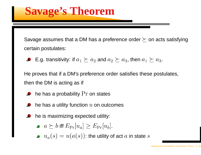#### **Savage's Theorem**

Savage assumes that a DM has a preference order  $\succeq$  on acts satisfying certain postulates:

E.g. transitivity: if  $a_1 \succeq a_2$  and  $a_2 \succeq a_3$ , then  $a_1 \succeq a_3$ .

He proves that if <sup>a</sup> DM's preference order satisfies these postulates, then the DM is acting as if

- he has a probability  $\Pr$  on states
- he has a utility function  $u$  on outcomes
- he is maximizing expected utility:
	- $\geq b$  iff  $E_{\Pr}[u_a] \geq E_{\Pr}[u_b].$ <br>(s)  $= u(a(s))$  the utility of ֦֘ ֦֘
	- : the utility of act  $a$  in state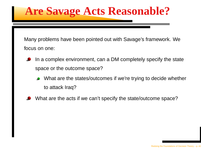### **Are Savage Acts Reasonable?**

Many problems have been pointed out with Savage's framework. We focus on one:

- In <sup>a</sup> complex environment, can <sup>a</sup> DM completely specify the state space or the outcome space?
	- What are the states/outcomes if we're trying to decide whether to attack Iraq?
- What are the acts if we can't specify the state/outcome space?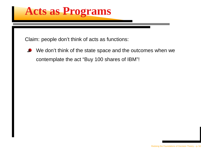#### **Acts as Programs**

Claim: people don't think of acts as functions:

We don't think of the state space and the outcomes when we contemplate the act "Buy <sup>100</sup> shares of IBM"!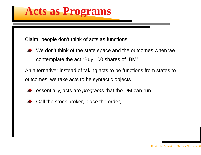#### **Acts as Programs**

Claim: people don't think of acts as functions:

We don't think of the state space and the outcomes when we contemplate the act "Buy <sup>100</sup> shares of IBM"!

An alternative: instead of taking acts to be functions from states to outcomes, we take acts to be syntactic objects

- essentially, acts are *programs* that the DM can run.
- Call the stock broker, place the order, . . .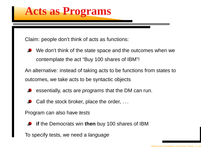#### **Acts as Programs**

Claim: people don't think of acts as functions:

We don't think of the state space and the outcomes when we contemplate the act "Buy <sup>100</sup> shares of IBM"!

An alternative: instead of taking acts to be functions from states to outcomes, we take acts to be syntactic objects

- essentially, acts are *programs* that the DM can run.
- Call the stock broker, place the order, . . .

Program can also have *tests* 

**if** the Democrats win **then** buy <sup>100</sup> shares of IBM

To specify tests, we need a *language*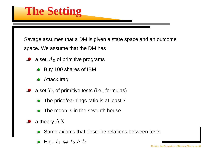### **The Setting**

Savage assumes that <sup>a</sup> DM is given <sup>a</sup> state space and an outcome

space. We assume that the DM has

- a set  $\mathcal{A}_0$  of primitive programs
	- Buy <sup>100</sup> shares of IBM
	- Attack Iraq
- a set  $T_{\rm 0}$  of primitive tests (i.e., formulas)
	- The price/earnings ratio is at least <sup>7</sup>
	- The moon is in the seventh house
- a theory  $\rm A$ 
	- Some axioms that describe relations between tests
	- E.g.,  $t_1 \Leftrightarrow t_2 \wedge$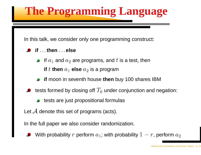### **The Programming Language**

In this talk, we consider only one programming construct:

- **if** . . .**then** . . . **else**
	- If  $a_1$  and  $a_2$  are programs, and  $t$  is a test, then **if**  $t$  **then**  $a_1$  **else**  $a_2$  is a program
	- **if** moon in seventh house **then** buy <sup>100</sup> shares IBM
- tests formed by closing off  $T_{\rm 0}$  under conjunction and negation:
	- tests are just propositional formulas
- Let  ${\mathcal A}$  denote this set of programs (acts).

In the full paper we also consider randomization.

With probability  $r$  perform  $a_1$ ; with probability  $1-r$ , perform  $a$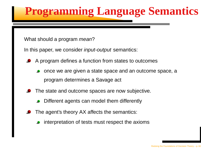### **Programming Language Semantics**

What should a program *mean*?

In this paper, we consider *input-output* semantics:

- A program defines <sup>a</sup> function from states to outcomes
	- once we are given <sup>a</sup> state space and an outcome space, <sup>a</sup> program determines <sup>a</sup> Savage act
- The state and outcome spaces are now subjective.
	- Different agents can model them differently
- The agent's theory AX affects the semantics:
	- interpretation of tests must respect the axioms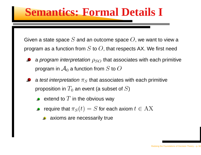#### **Semantics: Formal Details I**

Given a state space  $S$  and an outcome space  $O,$  we want to view a program as a function from  $S$  to  $O$ , that respects AX. We first need

- a *program interpretation*  $\rho_{SO}$  that associates with each primitive program in  $\mathcal{A}_0$  a function from  $S$  to  $O$
- a *test interpretation*  $\pi_S$  that associates with each primitive proposition in  $T_0$  an event (a subset of  $S$ )
	- extend to  $T$  in the obvious way
	- require that  $\pi_S(t)=S$  for each axiom  $t\in\mathrm{A}$ 
		- axioms are necessarily true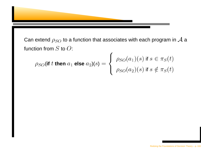

Can extend  $\rho_{SO}$  to a function that associates with each program in  ${\cal A}$  a function from  $S$  to  $O$ :

$$
\rho_{SO}(\text{if } t \text{ then } a_1 \text{ else } a_2)(s) = \begin{cases} \rho_{SO}(a_1)(s) \text{ if } s \in \pi_S(t) \\ \rho_{SO}(a_2)(s) \text{ if } s \notin \pi_S(t) \end{cases}
$$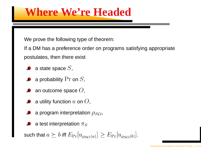#### **Where We're Headed**

We prove the following type of theorem:

If <sup>a</sup> DM has <sup>a</sup> preference order on programs satisfying appropriate postulates, then there exist

- a state space  $S,$
- a probability  $\Pr$  on  $S,$
- an outcome space  $O,$
- a utility function  $u$  on  $O,$
- a program interpretation  $\rho_{SO},$
- a test interpretation  $\pi$

such that  $a \succeq b$  iff  $E_{\Pr}[u_{\rho_{SO}(a)}] \geq E_{\Pr}[u_{\rho_{SO}(b)}].$ .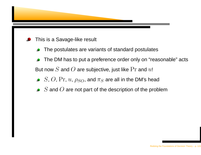

- This is <sup>a</sup> Savage-like result
	- The postulates are variants of standard postulates
	- The DM has to put <sup>a</sup> preference order only on "reasonable" acts  $\bullet$ But now  $S$  and  $O$  are subjective, just like  $\Pr$  and  $u!$
	- ,  $O,$   $\Pr$ ,  $u$ ,  $\rho_{SO}$ , and  $\pi_{S}$  are all in the DM's head
	- and  $O$  are not part of the description of the problem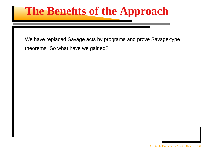#### **The Benefits of the Approach**

We have replaced Savage acts by programs and prove Savage-type theorems. So what have we gained?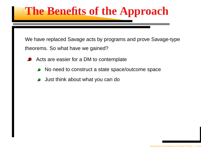#### **The Benefits of the Approach**

We have replaced Savage acts by programs and prove Savage-type theorems. So what have we gained?

- Acts are easier for <sup>a</sup> DM to contemplate
	- No need to construct <sup>a</sup> state space/outcome space
	- Just think about what you can do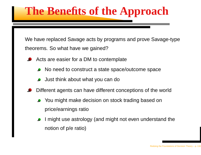#### **The Benefits of the Approach**

We have replaced Savage acts by programs and prove Savage-type theorems. So what have we gained?

- Acts are easier for <sup>a</sup> DM to contemplate
	- No need to construct <sup>a</sup> state space/outcome space
	- Just think about what you can do
- Different agents can have different conceptions of the world
	- You might make decision on stock trading based on price/earnings ratio
	- might use astrology (and might not even understand the notion of p/e ratio)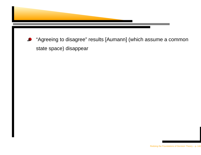

"Agreeing to disagree" results [Aumann] (which assume <sup>a</sup> common state space) disappear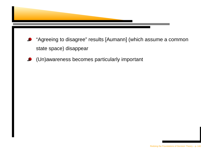

- "Agreeing to disagree" results [Aumann] (which assume <sup>a</sup> common state space) disappear
- (Un)awareness becomes particularly important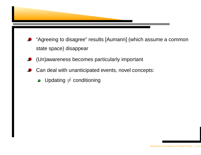

- "Agreeing to disagree" results [Aumann] (which assume <sup>a</sup> common state space) disappear
- (Un)awareness becomes particularly important
- Can deal with unanticipated events, novel concepts:
	- Updating  $\neq$  conditioning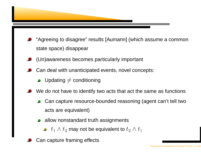

- "Agreeing to disagree" results [Aumann] (which assume <sup>a</sup> common state space) disappear
- (Un)awareness becomes particularly important
- Can deal with unanticipated events, novel concepts:
	- Updating  $\neq$  conditioning
- We do not have to identify two acts that act the same as functions
	- Can capture resource-bounded reasoning (agent can't tell two acts are equivalent)
	- allow nonstandard truth assignments
		- $_1\wedge t_2$  may not be equivalent to  $t_2\wedge$
- Can capture framing effects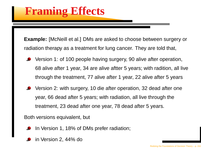**Example:** [McNeill et al.] DMs are asked to choose between surgery or radiation therapy as <sup>a</sup> treatment for lung cancer. They are told that,

- Version 1: of <sup>100</sup> people having surgery, <sup>90</sup> alive after operation, 68 alive after <sup>1</sup> year, <sup>34</sup> are alive aftter <sup>5</sup> years; with radition, all live through the treatment, <sup>77</sup> alive after <sup>1</sup> year, <sup>22</sup> alive after <sup>5</sup> years
- Version 2: with surgery, <sup>10</sup> die after operation, <sup>32</sup> dead after one year, 66 dead after <sup>5</sup> years; with radiation, all live through the treatment, 23 dead after one year, <sup>78</sup> dead after <sup>5</sup> years.

Both versions equivalent, but

- In Version 1, 18% of DMs prefer radiation;
- in Version 2, 44% do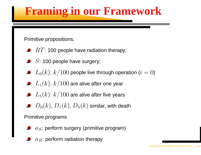# **Framing in our Framework**

Primitive propositions:

- : 100 people have radiation therapy;
- : 100 people have surgery;
- $\phi_0(k)$ :  $k/100$  people live through operation ( $i=0$ )
- $_1(k)$ :  $k/\mathrm{100}$  are alive after one year
- $_5(k)$ :  $k/\mathrm{100}$  are alive after five years
- $\sqrt{ }$ ,  $D_1(k)$ ,  $D_5(k)$  similar, with death

#### Primitive programs

- $\overline{S}$ : perform surgery (primitive program)
- $_R$ : perform radiation therapy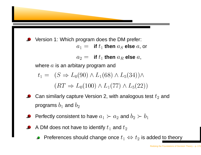

Version 1: Which program does the DM prefer:<br>if there are also a  $i_1 =$  **if**  $t_1$  **then**  $a_S$  **else**  $a$ , or  $\bm{p}_2 = \bm{\mathsf{if}}~t_1$  then  $a_R$  else  $a,$ where  $a$  is an arbitary program and  $(C \setminus I$  (00)  $\setminus I$  (60)  $\setminus I$  (94))

$$
(RT \Rightarrow L_0(100) \land L_1(77) \land L_5(22))
$$

- Can similarly capture Version 2, with analogous test  $t_2$  and programs  $b_1$  and  $b_2$
- Perfectly consistent to have  $a_1 \succ a_2$  and  $b_2 \succ b$
- A DM does not have to identify  $t_1$  and  $t_1$ 
	- Preferences should change once  $t_1 \Leftrightarrow t_2$  is added to theory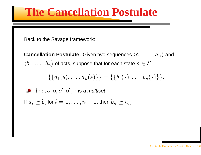# **The Cancellation Postulate**

Back to the Savage framework:

 $\bm{\mathsf{C}ancellation}$   $\bm{\mathsf{Postulate:}}$  Given two sequences  $\langle a_1,\ldots\rangle$  $\overline{)}$  $|a_n\rangle$  and  $\langle b_1,\ldots,b_n\rangle$  of acts, suppose that for each state  $s\in S$ 

$$
\{\{a_1(s),\ldots,a_n(s)\}\}=\{\{b_1(s),\ldots,b_n(s)\}\}.
$$

If  $a_i \succeq b_i$  for  $i=1,\ldots,n-1$ , then  $b_n \succeq$  $\{O,O,O,O^{\prime},O^{\prime}\}\}$  is a multiset µº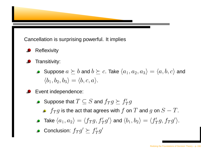

Cancellation is surprising powerful. It implies

- **Reflexivity**
- Transitivity:
	- Suppose  $a \succeq b$  and  $b$ . Take  $\langle a_1,a_2,a_3 \rangle = \langle a,b,c \rangle$  and  $\langle b_1,b_2,b_3\rangle = \langle b,c,a\rangle.$
- Event independence:
	- Suppose that  $T\subseteq S$  and  $f_Tg\succeq f_T'g$ 
		- $_Tg$  is the act that agrees with  $f$  on  $T$  and  $g$  on  $S-T.$
	- Take  $\langle a_1,a_2\rangle=\langle f_Tg,f_T'g'\rangle$  and  $\langle b_1,b_2\rangle=\langle f_T'g,f_Tg'\rangle$ .
	- Conclusion:  $f_Tg'\succeq f_T'g$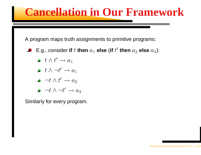# **Cancellation in Our Framework**

A program maps truth assignments to primitive programs:

- E.g., consider **if**  $t$  **then**  $a_1$  **else** (**if**  $t'$  **then**  $a_2$  **else**  $a_3$ ):
	- $\bullet$   $t \wedge t' \rightarrow a_1$
	- $\bullet\;\;t\wedge\neg t'\rightarrow a_1$
	- $\bullet \neg t \wedge t' \rightarrow a_2$
	- $\bullet \neg t \wedge \neg t' \rightarrow a_3$

Similarly for every program.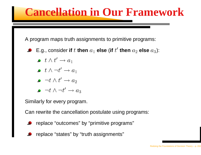# **Cancellation in Our Framework**

A program maps truth assignments to primitive programs:

- E.g., consider **if**  $t$  **then**  $a_1$  **else** (**if**  $t'$  **then**  $a_2$  **else**  $a_3$ ):
	- $\bullet$   $t \wedge t' \rightarrow a_1$
	- $\bullet$   $t \wedge \neg t' \rightarrow a_1$
	- $\bullet \neg t \wedge t' \rightarrow a_2$
	- $\bullet \neg t \wedge \neg t' \rightarrow a_3$

Similarly for every program.

Can rewrite the cancellation postulate using programs:

- replace "outcomes" by "primitive programs"
- replace "states" by "truth assignments"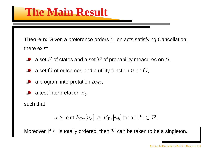**Theorem:** Given a preference orders  $\succeq$  on acts satisfying Cancellation, there exist

- a set  $S$  of states and a set  $\mathcal P$  of probability measures on  $S,$
- a set  $O$  of outcomes and a utility function  $u$  on  $O,$
- a program interpretation  $\rho_{SO},$
- a test interpretation  $\pi$

such that

$$
a \succeq b
$$
 iff  $E_{\Pr}[u_a] \ge E_{\Pr}[u_b]$  for all  $\Pr \in \mathcal{P}$ .

Moreover, if  $\succeq$  is totally ordered, then  $\mathcal P$  can be taken to be a singleton.

Redoing the Foundations of Decision Theory – p. 21/2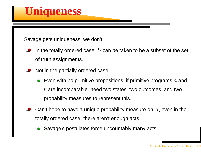

Savage gets uniqueness; we don't:

- In the totally ordered case,  $S$  can be taken to be a subset of the set of truth assignments.
- Not in the partially ordered case:
	- Even with no primitive propositions, if primitive programs  $a$  and are incomparable, need two states, two outcomes, and two probability measures to represent this.
- Can't hope to have a unique probability measure on  $S_\cdot$  even in the totally ordered case: there aren't enough acts.
	- Savage's postulates force uncountably many acts

Redoing the Foundations of Decision Theory – p. 22/2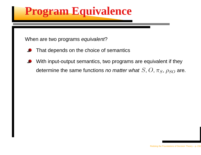# **Program Equivalence**

When are two programs *equivalent*?

- That depends on the choice of semantics
- With input-output semantics, two programs are equivalent if they determine the same functions *no matter what*  $S,$  $O,$  $\pi_S,$  $\rho_{SO}$  *are.*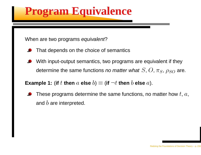# **Program Equivalence**

When are two programs *equivalent*?

- That depends on the choice of semantics
- With input-output semantics, two programs are equivalent if they determine the same functions *no matter what*  $S,$  $O,$  $\pi_S,$  $\rho_{SO}$  *are.*

Example 1: (if  $t$  then  $a$  else  $b) \equiv$  (if  $\neg t$  then  $b$  else  $a$ ).

These programs determine the same functions, no matter how  $t$ ,  $a,$ and  $b$  are interpreted.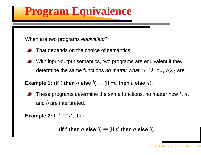# **Program Equivalence**

When are two programs *equivalent*?

- That depends on the choice of semantics
- With input-output semantics, two programs are equivalent if they determine the same functions *no matter what*  $S,$  $O,$  $\pi_S,$  $\rho_{SO}$  *are.*

Example 1: (if  $t$  then  $a$  else  $b) \equiv$  (if  $\neg t$  then  $b$  else  $a$ ).

These programs determine the same functions, no matter how  $t,\,a,$ and  $b$  are interpreted.

**Example 2:** If  $t\equiv t'$ , then

(if  $t$  then  $a$  else  $b$ )  $\equiv$  (if  $t'$  then  $a$  else  $b$ ).

Redoing the Foundations of Decision Theory – p. 23/2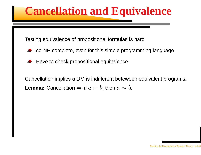# **Cancellation and Equivalence**

Testing equivalence of propositional formulas is hard

- co-NP complete, even for this simple programming language
- Have to check propositional equivalence

Cancellation implies <sup>a</sup> DM is indifferent beteween equivalent programs. **Lemma:** Cancellation  $\Rightarrow$  if  $a\equiv b,$  then  $a\sim b.$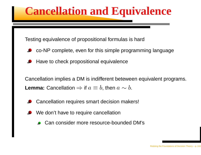# **Cancellation and Equivalence**

Testing equivalence of propositional formulas is hard

- co-NP complete, even for this simple programming language
- Have to check propositional equivalence

Cancellation implies <sup>a</sup> DM is indifferent beteween equivalent programs. **Lemma:** Cancellation  $\Rightarrow$  if  $a\equiv b,$  then  $a\sim b.$ 

- Cancellation requires smart decision makers!
- We don't have to require cancellation
	- Can consider more resource-bounded DM's